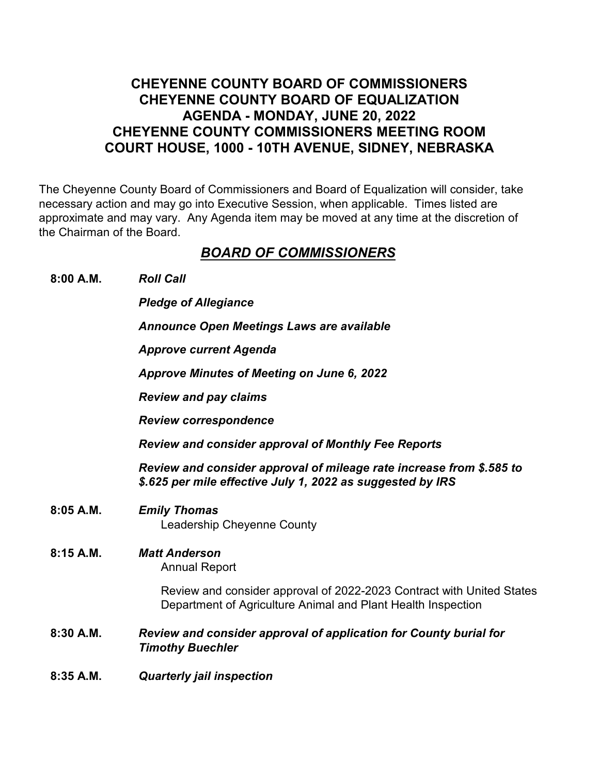## **CHEYENNE COUNTY BOARD OF COMMISSIONERS CHEYENNE COUNTY BOARD OF EQUALIZATION AGENDA - MONDAY, JUNE 20, 2022 CHEYENNE COUNTY COMMISSIONERS MEETING ROOM COURT HOUSE, 1000 - 10TH AVENUE, SIDNEY, NEBRASKA**

The Cheyenne County Board of Commissioners and Board of Equalization will consider, take necessary action and may go into Executive Session, when applicable. Times listed are approximate and may vary. Any Agenda item may be moved at any time at the discretion of the Chairman of the Board.

## *BOARD OF COMMISSIONERS*

**8:00 A.M.** *Roll Call*

*Pledge of Allegiance*

*Announce Open Meetings Laws are available*

*Approve current Agenda*

*Approve Minutes of Meeting on June 6, 2022*

*Review and pay claims*

*Review correspondence*

*Review and consider approval of Monthly Fee Reports*

*Review and consider approval of mileage rate increase from \$.585 to \$.625 per mile effective July 1, 2022 as suggested by IRS*

- **8:05 A.M.** *Emily Thomas* Leadership Cheyenne County
- **8:15 A.M.** *Matt Anderson* Annual Report

Review and consider approval of 2022-2023 Contract with United States Department of Agriculture Animal and Plant Health Inspection

- **8:30 A.M.** *Review and consider approval of application for County burial for Timothy Buechler*
- **8:35 A.M.** *Quarterly jail inspection*